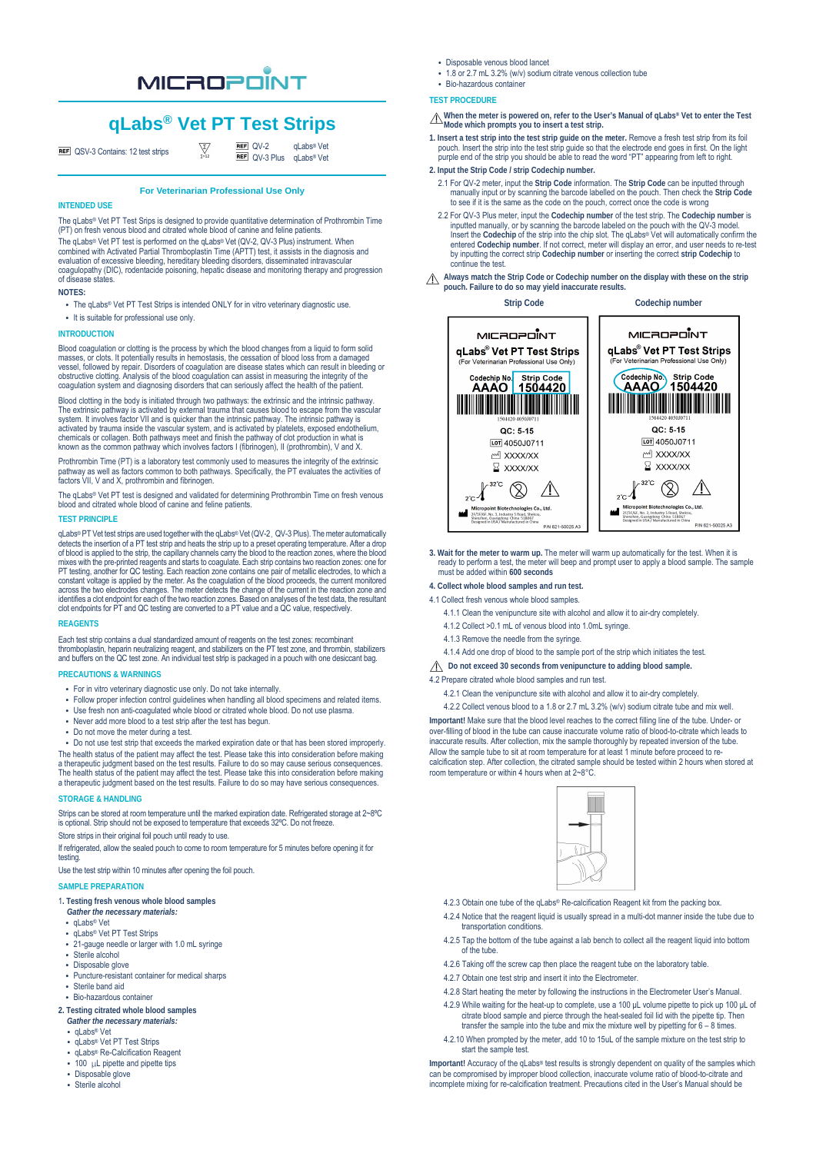# **MICADPOINT**

## **qLabs® Vet PT Test Strips**

**REF** QSV-3 Contains: 12 test strips  $\overline{X}$  **REF** QV-2

 QV-3 Plus qLabs® Vet qLabs® Vet

**For Veterinarian Professional Use Only** 

### **INTENDED USE**

The qLabs® Vet PT Test Srips is designed to provide quantitative determination of Prothrombin Time (PT) on fresh venous blood and citrated whole blood of canine and feline patients.

The qLabs® Vet PT test is performed on the qLabs® Vet (QV-2, QV-3 Plus) instrument. When combined with Activated Partial Thromboplastin Time (APTT) test, it assists in the diagnosis and<br>evaluation of excessive bleeding, hereditary bleeding disorders, disseminated intravascular<br>coagulopathy (DIC), rodentacide p of disease states.

## **NOTES:**

• The gLabs® Vet PT Test Strips is intended ONLY for in vitro veterinary diagnostic use.

• It is suitable for professional use only.

#### **INTRODUCTION**

Blood coagulation or clotting is the process by which the blood changes from a liquid to form solid masses, or clots. It potentially results in hemostasis, the cessation of blood loss from a damaged vessel, followed by repair. Disorders of coagulation are disease states which can result in bleeding or obstructive clotting. Analysis of the blood coagulation can assist in measuring the integrity of the coagulation system and diagnosing disorders that can seriously affect the health of the patient.

Blood clotting in the body is initiated through two pathways: the extrinsic and the intrinsic pathway. The extrinsic pathway is activated by external trauma that causes blood to escape from the vascular system. It involves factor VII and is quicker than the intrinsic pathway. The intrinsic pathway is activated by trauma inside the vascular system, and is activated by platelets, exposed endothelium,<br>chemicals or collagen. Both pathways meet and finish the pathway of clot production in what is<br>known as the common pathway

Prothrombin Time (PT) is a laboratory test commonly used to measures the integrity of the extrinsic pathway as well as factors common to both pathways. Specifically, the PT evaluates the activities of factors VII, V and X, prothrombin and fibrinogen.

The qLabs® Vet PT test is designed and validated for determining Prothrombin Time on fresh venous blood and citrated whole blood of canine and feline patients.

## **TEST PRINCIPLE**

qLabs® PT Vet test strips are used together with the qLabs® Vet (QV-2, QV-3 Plus). The meter automatically detects the insertion of a PT test strip and heats the strip up to a preset operating temperature. After a drop of blood is applied to the strip, the capillary channels carry the blood to the reaction zones, where the blood mixes with the pre-printed reagents and starts to coagulate. Each strip contains two reaction zones: one for PT testing, another for QC testing. Each reaction zone contains one pair of metallic electrodes, to which a constant voltage is applied by the meter. As the coagulation of the blood proceeds, the current monitored across the two electrodes changes. The meter detects the change of the current in the reaction zone and<br>identifies a clot endpoint for each of the two reaction zones. Based on analyses of the test data, the resultant<br>clot

#### **REAGENTS**

Each test strip contains a dual standardized amount of reagents on the test zones: recombinant thromboplastin, heparin neutralizing reagent, and stabilizers on the PT test zone, and thrombin, stabilizers and buffers on the QC test zone. An individual test strip is packaged in a pouch with one desiccant bag.

#### **PRECAUTIONS & WARNINGS**

- For in vitro veterinary diagnostic use only. Do not take internally.
- Follow proper infection control guidelines when handling all blood specimens and related items.
- Use fresh non anti-coagulated whole blood or citrated whole blood. Do not use plasma.
- Never add more blood to a test strip after the test has begun.
- Do not move the meter during a test.

• Do not use test strip that exceeds the marked expiration date or that has been stored improperly. The health status of the patient may affect the test. Please take this into consideration before making a therapeutic judgment based on the test results. Failure to do so may cause serious consequences. The health status of the patient may affect the test. Please take this into consideration before making a therapeutic judgment based on the test results. Failure to do so may have serious consequences.

#### **STORAGE & HANDLING**

Strips can be stored at room temperature until the marked expiration date. Refrigerated storage at 2~8ºC is optional. Strip should not be exposed to temperature that exceeds 32ºC. Do not freeze.

Store strips in their original foil pouch until ready to use.

If refrigerated, allow the sealed pouch to come to room temperature for 5 minutes before opening it for testing.

## Use the test strip within 10 minutes after opening the foil pouch.

#### **SAMPLE PREPARATION**

- 1**. Testing fresh venous whole blood samples**
- *Gather the necessary materials:*
- qLabs® Vet
- qLabs® Vet PT Test Strips
- 21-gauge needle or larger with 1.0 mL syringe
- Sterile alcohol • Disposable glove
- Puncture-resistant container for medical sharps
- Sterile band aid
- Bio-hazardous container
- **2. Testing citrated whole blood samples**
- *Gather the necessary materials:*
- qLabs® Vet
- qLabs® Vet PT Test Strips
- qLabs® Re-Calcification Reagent
- 100 μL pipette and pipette tips • Disposable glove
- Sterile alcohol

• Disposable venous blood lancet

- 1.8 or 2.7 mL 3.2% (w/v) sodium citrate venous collection tube
- $\bullet$  Bio-hazardous container

#### **TEST PROCEDURE**

**When the meter is powered on, refer to the User's Manual of qLabs® Vet to enter the Test**   $\wedge$ **Mode which prompts you to insert a test strip.** 

- **1. Insert a test strip into the test strip guide on the meter.** Remove a fresh test strip from its foil pouch. Insert the strip into the test strip guide so that the electrode end goes in first. On the light purple end of the strip you should be able to read the word "PT" appearing from left to right.
- **2. Input the Strip Code / strip Codechip number.**
- 2.1 For QV-2 meter, input the **Strip Code** information. The **Strip Code** can be inputted through manually input or by scanning the barcode labelled on the pouch. Then check the **Strip Code** to see if it is the same as the code on the pouch, correct once the code is wrong
- 2.2 For QV-3 Plus meter, input the **Codechip number** of the test strip. The **Codechip number** is inputted manually, or by scanning the barcode labeled on the pouch with the QV-3 model. Insert the **Codechip** of the strip into the chip slot. The qLabs® Vet will automatically confirm the entered **Codechip number**. If not correct, meter will display an error, and user needs to re-test by inputting the correct strip **Codechip number** or inserting the correct **strip Codechip** to continue the test.
- **Always match the Strip Code or Codechip number on the display with these on the strip pouch. Failure to do so may yield inaccurate results.**

**Strip Code Codechip number** 



**3. Wait for the meter to warm up.** The meter will warm up automatically for the test. When it is ready to perform a test, the meter will beep and prompt user to apply a blood sample. The sample must be added within **600 seconds**

#### **4. Collect whole blood samples and run test.**

- 4.1 Collect fresh venous whole blood samples.
	- 4.1.1 Clean the venipuncture site with alcohol and allow it to air-dry completely.
	- 4.1.2 Collect >0.1 mL of venous blood into 1.0mL syringe.
	- 4.1.3 Remove the needle from the syringe.
	- 4.1.4 Add one drop of blood to the sample port of the strip which initiates the test.

## **Do not exceed 30 seconds from venipuncture to adding blood sample.**

- 4.2 Prepare citrated whole blood samples and run test.
	- 4.2.1 Clean the venipuncture site with alcohol and allow it to air-dry completely.
	- 4.2.2 Collect venous blood to a 1.8 or 2.7 mL 3.2% (w/v) sodium citrate tube and mix well

**Important!** Make sure that the blood level reaches to the correct filling line of the tube. Under- or over-filling of blood in the tube can cause inaccurate volume ratio of blood-to-citrate which leads to inaccurate results. After collection, mix the sample thoroughly by repeated inversion of the tube. Allow the sample tube to sit at room temperature for at least 1 minute before proceed to recalcification step. After collection, the citrated sample should be tested within 2 hours when stored at room temperature or within 4 hours when at 2~8°C.



- 4.2.3 Obtain one tube of the qLabs® Re-calcification Reagent kit from the packing box.
- 4.2.4 Notice that the reagent liquid is usually spread in a multi-dot manner inside the tube due to transportation conditions.
- 4.2.5 Tap the bottom of the tube against a lab bench to collect all the reagent liquid into bottom of the tube.
- 4.2.6 Taking off the screw cap then place the reagent tube on the laboratory table.
- 4.2.7 Obtain one test strip and insert it into the Electrometer.
- 4.2.8 Start heating the meter by following the instructions in the Electrometer User's Manual.
- 4.2.9 While waiting for the heat-up to complete, use a 100 μL volume pipette to pick up 100 μL of citrate blood sample and pierce through the heat-sealed foil lid with the pipette tip. Then transfer the sample into the tube and mix the mixture well by pipetting for 6 – 8 times.
- 4.2.10 When prompted by the meter, add 10 to 15uL of the sample mixture on the test strip to start the sample test.

**Important!** Accuracy of the qLabs® test results is strongly dependent on quality of the samples which can be compromised by improper blood collection, inaccurate volume ratio of blood-to-citrate and incomplete mixing for re-calcification treatment. Precautions cited in the User's Manual should be